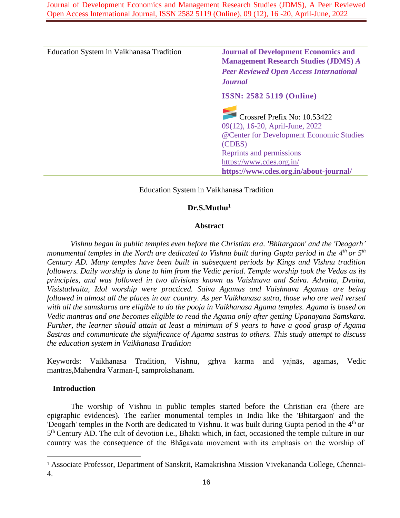Journal of Development Economics and Management Research Studies (JDMS), A Peer Reviewed Open Access International Journal, ISSN 2582 5119 (Online), 09 (12), 16 -20, April-June, 2022

| Education System in Vaikhanasa Tradition | <b>Journal of Development Economics and</b>                     |
|------------------------------------------|-----------------------------------------------------------------|
|                                          | <b>Management Research Studies (JDMS) A</b>                     |
|                                          | <b>Peer Reviewed Open Access International</b>                  |
|                                          | <b>Journal</b>                                                  |
|                                          | <b>ISSN: 2582 5119 (Online)</b>                                 |
|                                          | Crossref Prefix No: 10.53422<br>09(12), 16-20, April-June, 2022 |
|                                          | @Center for Development Economic Studies<br>(CDES)              |
|                                          | Reprints and permissions                                        |
|                                          | https://www.cdes.org.in/                                        |
|                                          | https://www.cdes.org.in/about-journal/                          |

# Education System in Vaikhanasa Tradition

# **Dr.S.Muthu<sup>1</sup>**

# **Abstract**

*Vishnu began in public temples even before the Christian era. 'Bhitargaon' and the 'Deogarh' monumental temples in the North are dedicated to Vishnu built during Gupta period in the 4th or 5th Century AD. Many temples have been built in subsequent periods by Kings and Vishnu tradition followers. Daily worship is done to him from the Vedic period. Temple worship took the Vedas as its principles, and was followed in two divisions known as Vaishnava and Saiva. Advaita, Dvaita, Visistadvaita, Idol worship were practiced. Saiva Agamas and Vaishnava Agamas are being followed in almost all the places in our country. As per Vaikhanasa sutra, those who are well versed with all the samskaras are eligible to do the pooja in Vaikhanasa Agama temples. Agama is based on Vedic mantras and one becomes eligible to read the Agama only after getting Upanayana Samskara. Further, the learner should attain at least a minimum of 9 years to have a good grasp of Agama Sastras and communicate the significance of Agama sastras to others. This study attempt to discuss the education system in Vaikhanasa Tradition*

Keywords: Vaikhanasa Tradition, Vishnu, gṛhya karma and yajnās, agamas, Vedic mantras,Mahendra Varman-I, samprokshanam.

# **Introduction**

The worship of Vishnu in public temples started before the Christian era (there are epigraphic evidences). The earlier monumental temples in India like the 'Bhitargaon' and the 'Deogarh' temples in the North are dedicated to Vishnu. It was built during Gupta period in the 4<sup>th</sup> or 5<sup>th</sup> Century AD. The cult of devotion i.e., Bhakti which, in fact, occasioned the temple culture in our country was the consequence of the Bhāgavata movement with its emphasis on the worship of

<sup>1</sup> Associate Professor, Department of Sanskrit, Ramakrishna Mission Vivekananda College, Chennai-4.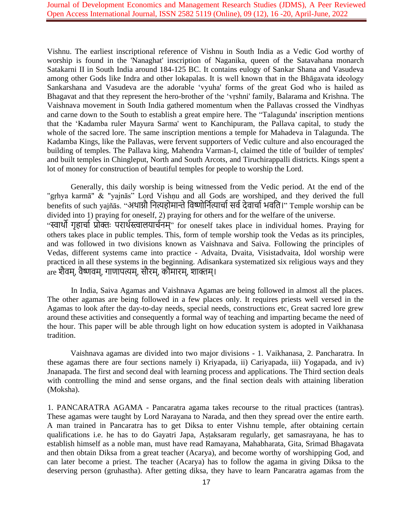Vishnu. The earliest inscriptional reference of Vishnu in South India as a Vedic God worthy of worship is found in the 'Nanaghat' inscription of Naganika, queen of the Satavahana monarch Satakarni II in South India around 184-125 BC. It contains eulogy of Sankar Shana and Vasudeva among other Gods like Indra and other lokapalas. It is well known that in the Bhāgavata ideology Sankarshana and Vasudeva are the adorable 'vyuha' forms of the great God who is hailed as Bhagavat and that they represent the hero-brother of the 'vṛshni' family, Balarama and Krishna. The Vaishnava movement in South India gathered momentum when the Pallavas crossed the Vindhyas and carne down to the South to establish a great empire here. The "Talagunda' inscription mentions that the 'Kadamba ruler Mayura Sarma' went to Kanchipuram, the Pallava capital, to study the whole of the sacred lore. The same inscription mentions a temple for Mahadeva in Talagunda. The Kadamba Kings, like the Pallavas, were fervent supporters of Vedic culture and also encouraged the building of temples. The Pallava king, Mahendra Varman-I, claimed the title of 'builder of temples' and built temples in Chingleput, North and South Arcots, and Tiruchirappalli districts. Kings spent a lot of money for construction of beautiful temples for people to worship the Lord.

Generally, this daily worship is being witnessed from the Vedic period. At the end of the "gṛhya karmā" & "yajnās" Lord Vishṇu and all Gods are worshiped, and they derived the full benefits of such yaiñās. "अथाग्नौ नित्यहोमान्ते विष्णोर्नित्यार्चा सर्व देवार्चा भवति।" Temple worship can be divided into 1) praying for oneself, 2) praying for others and for the welfare of the universe. "स्वार्थो गृहार्चा प्रोक्तः परार्थस्त्वालयार्चनम्" for oneself takes place in individual homes. Praying for others takes place in public temples. This, form of temple worship took the Vedas as its principles, and was followed in two divisions known as Vaishnava and Saiva. Following the principles of Vedas, different systems came into practice - Advaita, Dvaita, Visistadvaita, Idol worship were practiced in all these systems in the beginning. Adisankara systematized six religious ways and they are शैवम्, वैष्णवम्, गाणापत्यम्, सौरम्, कौमारम्, शाक्तम्।

In India, Saiva Agamas and Vaishnava Agamas are being followed in almost all the places. The other agamas are being followed in a few places only. It requires priests well versed in the Agamas to look after the day-to-day needs, special needs, constructions etc, Great sacred lore grew around these activities and consequently a formal way of teaching and imparting became the need of the hour. This paper will be able through light on how education system is adopted in Vaikhanasa tradition.

Vaishnava agamas are divided into two major divisions - 1. Vaikhanasa, 2. Pancharatra. In these agamas there are four sections namely i) Kriyapada, ii) Cariyapada, iii) Yogapada, and iv) Jnanapada. The first and second deal with learning process and applications. The Third section deals with controlling the mind and sense organs, and the final section deals with attaining liberation (Moksha).

1. PANCARATRA AGAMA - Pancaratra agama takes recourse to the ritual practices (tantras). These agamas were taught by Lord Narayana to Narada, and then they spread over the entire earth. A man trained in Pancaratra has to get Diksa to enter Vishnu temple, after obtaining certain qualifications i.e. he has to do Gayatri Japa, Aṣṭaksaram regularly, get samasrayana, he has to establish himself as a noble man, must have read Ramayana, Mahabharata, Gita, Srimad Bhagavata and then obtain Diksa from a great teacher (Acarya), and become worthy of worshipping God, and can later become a priest. The teacher (Acarya) has to follow the agama in giving Diksa to the deserving person (gruhastha). After getting diksa, they have to learn Pancaratra agamas from the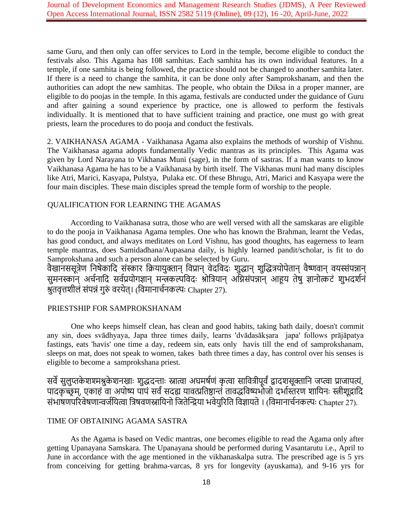same Guru, and then only can offer services to Lord in the temple, become eligible to conduct the festivals also. This Agama has 108 samhitas. Each samhita has its own individual features. In a temple, if one samhita is being followed, the practice should not be changed to another samhita later. If there is a need to change the samhita, it can be done only after Samprokshanam, and then the authorities can adopt the new samhitas. The people, who obtain the Diksa in a proper manner, are eligible to do poojas in the temple. In this agama, festivals are conducted under the guidance of Guru and after gaining a sound experience by practice, one is allowed to perform the festivals individually. It is mentioned that to have sufficient training and practice, one must go with great priests, learn the procedures to do pooja and conduct the festivals.

2. VAIKHANASA AGAMA - Vaikhanasa Agama also explains the methods of worship of Vishnu. The Vaikhanasa agama adopts fundamentally Vedic mantras as its principles. This Agama was given by Lord Narayana to Vikhanas Muni (sage), in the form of sastras. If a man wants to know Vaikhanasa Agama he has to be a Vaikhanasa by birth itself. The Vikhanas muni had many disciples like Atri, Marici, Kasyapa, Pulstya, Pulaka etc. Of these Bhrugu, Atri, Marici and Kasyapa were the four main disciples. These main disciples spread the temple form of worship to the people.

# QUALIFICATION FOR LEARNING THE AGAMAS

According to Vaikhanasa sutra, those who are well versed with all the samskaras are eligible to do the pooja in Vaikhanasa Agama temples. One who has known the Brahman, learnt the Vedas, has good conduct, and always meditates on Lord Vishnu, has good thoughts, has eagerness to learn temple mantras, does Samidadhana/Aupasana daily, is highly learned pandit/scholar, is fit to do Samprokshana and such a person alone can be selected by Guru.

वैखानससूत्रेण निषेकादि संस्कार क्रियायुक्तान् विप्रान् वेदविदः शुद्धान् शुद्धित्रयोपेतान् वैष्णवान् वयस्संपन्नान् सुमनस्कान् अर्चनादि सर्वप्रयोगज्ञान् मन्त्रकल्पविदः श्रोत्रियान् अग्निसंपन्नान् आहूय तेषु ज्ञानोत्कटं शुभदर्शनं श्रुतवृत्तशीलं संपन्नं गुरं वरयेत्। (नवमानार्ानकल्पः Chapter 27).

# PRIESTSHIP FOR SAMPROKSHANAM

One who keeps himself clean, has clean and good habits, taking bath daily, doesn't commit any sin, does svādhyaya, Japa three times daily, learns 'dvādasākṣara japa' follows prājāpatya fastings, eats 'havis' one time a day, redeem sin, eats only havis till the end of samprokshanam, sleeps on mat, does not speak to women, takes bath three times a day, has control over his senses is eligible to become a samprokshana priest.

सर्वे सुलुप्तकेशश्मश्रुकेशनखाः शुद्धदन्ताः स्नात्वा अघमर्षणं कृत्वा सावित्रीपूर्वं द्वादशसूक्तानि जप्त्वा प्राजापत्यं, पादकृच्छ्रम्, एकाहं वा अपोष्य पापं सर्वं सदह्य यावत्प्रतिष्ठान्तं तावद्धविष्यभोजो दर्भास्तरण शायिनः स्त्रीशूद्रादि संभाषणपरिवेषणान्वर्जयित्वा त्रिषवणस्नायिनो जितेन्द्रिया भवेयुरिति विज्ञायते । (विमानार्चनकल्पः Chapter 27).

# TIME OF OBTAINING AGAMA SASTRA

As the Agama is based on Vedic mantras, one becomes eligible to read the Agama only after getting Upanayana Samskara. The Upanayana should be performed during Vasantarutu i.e., April to June in accordance with the age mentioned in the vikhanaskalpa sutra. The prescribed age is 5 yrs from conceiving for getting brahma-varcas, 8 yrs for longevity (ayuskama), and 9-16 yrs for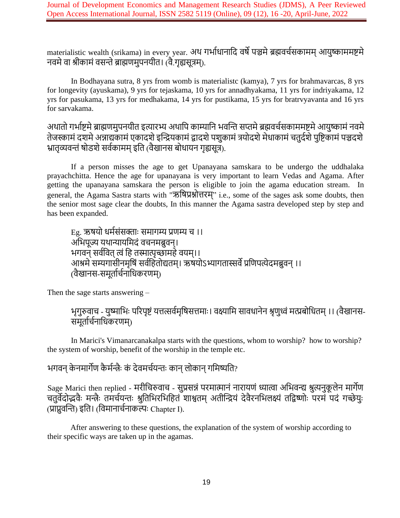materialistic wealth (srikama) in every year. अथ गर्भाधानादि वर्षे पञ्चमे ब्रह्मवर्चसकामम् आयुष्काममष्टमे नवमे वा श्रीकामं वसन्ते ब्राह्मणमुपनयीत। (वै.गृह्यसूत्रम्).

In Bodhayana sutra, 8 yrs from womb is materialistc (kamya), 7 yrs for brahmavarcas, 8 yrs for longevity (ayuskama), 9 yrs for tejaskama, 10 yrs for annadhyakama, 11 yrs for indriyakama, 12 yrs for pasukama, 13 yrs for medhakama, 14 yrs for pustikama, 15 yrs for bratrvyavanta and 16 yrs for sarvakama.

अथातो गर्भाष्टमे ब्राह्मणमुनयीत इत्यारभ्य अथापि काम्यानि भवन्ति सप्तमे ब्रह्मवर्चसकाममष्टमे आयुष्कामं नवमे तेजस्कामं दशमे अन्नाद्यकामं एकादशे इन्द्रियकामं द्वादशे पशुकामं त्रयोदशे मेधाकामं चतुर्दशे पुष्टिकामं पञ्चदशे भ्रातृव्यवन्तं षोडशे सर्वकामम् इति (वैखानस बोधायन गृह्यसूत्र).

If a person misses the age to get Upanayana samskara to be undergo the uddhalaka prayachchitta. Hence the age for upanayana is very important to learn Vedas and Agama. After getting the upanayana samskara the person is eligible to join the agama education stream. In general, the Agama Sastra starts with "ऋनर्प्रश्नोत्तरम्" i.e., some of the sages ask some doubts, then the senior most sage clear the doubts, In this manner the Agama sastra developed step by step and has been expanded.

Eg. ऋर्यो धमिसंसक्तााः समागम्य प्रणम्य र् ।। अभिपूज्य यथान्यायमिदं वचनमब्रुवन्। भगवन सर्ववित त्वं हि तस्मात्पृच्छामहे वयम्।। आश्रमे सम्यगासीनमृषिं सर्वहितोद्यतम्। ऋषयोऽभ्यागतास्सर्वे प्रणिपत्येदमब्रुवन् ।। (वैखानस-समर्तार्चनाधिकरणम्)

Then the sage starts answering –

भृगुरुवाच - युष्माभिः परिपृष्टं यत्तत्सर्वमृषिसत्तमाः । वक्ष्यामि सावधानेन श्रृणुध्वं मत्प्रबोधितम् ।। (वैखानस-समूर्तार्चनाधिकरणम्)

In Marici's Vimanarcanakalpa starts with the questions, whom to worship? how to worship? the system of worship, benefit of the worship in the temple etc.

# भगवन् केनमार्गेण कैर्मन्त्रैः कं देवमर्चयन्तः कान् लोकान् गमिष्यति?

Sage Marici then replied - मरीचिरुवाच - सुप्रसन्नं परमात्मानं नारायणं ध्यात्वा अभिवन्द्य श्रुत्यनुकूलेन मार्गेण चतुर्वेदोद्भवैः मन्त्रैः तमर्चयन्तः श्रुतिभिरभिहितं शाश्वतम् अतीन्द्रियं देवैरनभिलक्ष्यं तद्विष्णोः परमं पदं गच्छेयुः (प्राप्नुवन्ति) इति। (विमानार्चनाकल्पः Chapter I).

After answering to these questions, the explanation of the system of worship according to their specific ways are taken up in the agamas.